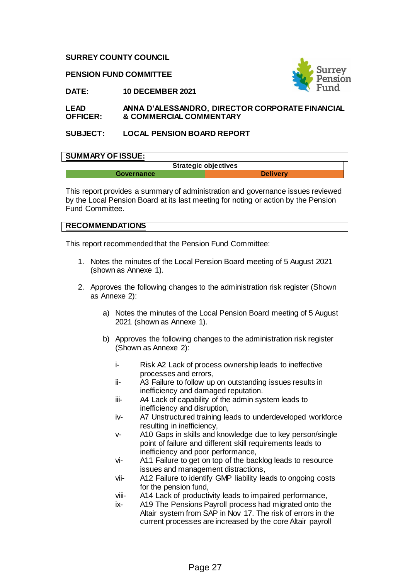#### **SURREY COUNTY COUNCIL**

**PENSION FUND COMMITTEE**



**DATE: 10 DECEMBER 2021**

#### **LEAD OFFICER: ANNA D'ALESSANDRO, DIRECTOR CORPORATE FINANCIAL & COMMERCIAL COMMENTARY**

# **SUBJECT: LOCAL PENSION BOARD REPORT**

## **SUMMARY OF ISSUE:**

|            | <b>Strategic objectives</b> |
|------------|-----------------------------|
| Governance | <b>Delivery</b>             |

This report provides a summary of administration and governance issues reviewed by the Local Pension Board at its last meeting for noting or action by the Pension Fund Committee.

# **RECOMMENDATIONS**

This report recommended that the Pension Fund Committee:

- 1. Notes the minutes of the Local Pension Board meeting of 5 August 2021 (shown as Annexe 1).
- 2. Approves the following changes to the administration risk register (Shown as Annexe 2):
	- a) Notes the minutes of the Local Pension Board meeting of 5 August 2021 (shown as Annexe 1).
	- b) Approves the following changes to the administration risk register (Shown as Annexe 2):
		- i- Risk A2 Lack of process ownership leads to ineffective processes and errors,
		- ii- A3 Failure to follow up on outstanding issues results in inefficiency and damaged reputation.
		- iii- A4 Lack of capability of the admin system leads to inefficiency and disruption,
		- iv- A7 Unstructured training leads to underdeveloped workforce resulting in inefficiency,
		- v- A10 Gaps in skills and knowledge due to key person/single point of failure and different skill requirements leads to inefficiency and poor performance,
		- vi- A11 Failure to get on top of the backlog leads to resource issues and management distractions,
		- vii- A12 Failure to identify GMP liability leads to ongoing costs for the pension fund,
		- viii- A14 Lack of productivity leads to impaired performance,
		- ix- A19 The Pensions Payroll process had migrated onto the Altair system from SAP in Nov 17. The risk of errors in the current processes are increased by the core Altair payroll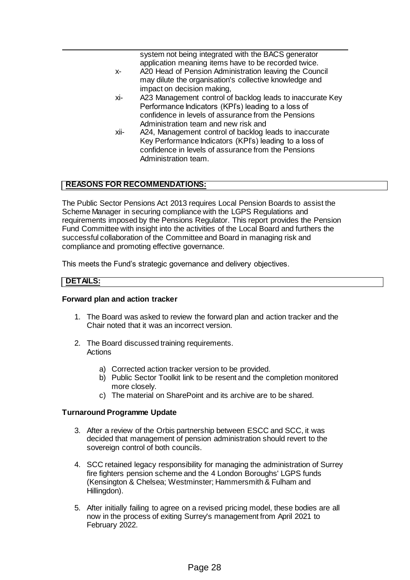|      | system not being integrated with the BACS generator<br>application meaning items have to be recorded twice. |
|------|-------------------------------------------------------------------------------------------------------------|
| Х-   | A20 Head of Pension Administration leaving the Council                                                      |
|      | may dilute the organisation's collective knowledge and                                                      |
|      | impact on decision making,                                                                                  |
| xi-  | A23 Management control of backlog leads to inaccurate Key                                                   |
|      | Performance Indicators (KPI's) leading to a loss of                                                         |
|      | confidence in levels of assurance from the Pensions                                                         |
|      | Administration team and new risk and                                                                        |
| xii- | A24, Management control of backlog leads to inaccurate                                                      |
|      | Key Performance Indicators (KPI's) leading to a loss of                                                     |
|      | confidence in levels of assurance from the Pensions                                                         |
|      | Administration team.                                                                                        |
|      |                                                                                                             |

# **REASONS FOR RECOMMENDATIONS:**

The Public Sector Pensions Act 2013 requires Local Pension Boards to assist the Scheme Manager in securing compliance with the LGPS Regulations and requirements imposed by the Pensions Regulator. This report provides the Pension Fund Committee with insight into the activities of the Local Board and furthers the successful collaboration of the Committee and Board in managing risk and compliance and promoting effective governance.

This meets the Fund's strategic governance and delivery objectives.

#### **DETAILS:**

#### **Forward plan and action tracker**

- 1. The Board was asked to review the forward plan and action tracker and the Chair noted that it was an incorrect version.
- 2. The Board discussed training requirements. Actions
	- a) Corrected action tracker version to be provided.
	- b) Public Sector Toolkit link to be resent and the completion monitored more closely.
	- c) The material on SharePoint and its archive are to be shared.

#### **Turnaround Programme Update**

- 3. After a review of the Orbis partnership between ESCC and SCC, it was decided that management of pension administration should revert to the sovereign control of both councils.
- 4. SCC retained legacy responsibility for managing the administration of Surrey fire fighters pension scheme and the 4 London Boroughs' LGPS funds (Kensington & Chelsea; Westminster; Hammersmith & Fulham and Hillingdon).
- 5. After initially failing to agree on a revised pricing model, these bodies are all now in the process of exiting Surrey's management from April 2021 to February 2022.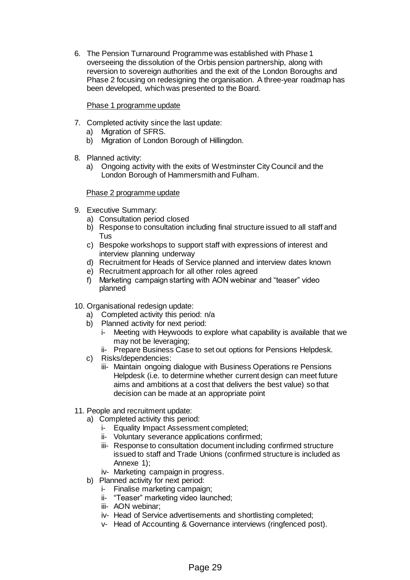6. The Pension Turnaround Programme was established with Phase 1 overseeing the dissolution of the Orbis pension partnership, along with reversion to sovereign authorities and the exit of the London Boroughs and Phase 2 focusing on redesigning the organisation. A three-year roadmap has been developed, which was presented to the Board.

## Phase 1 programme update

- 7. Completed activity since the last update:
	- a) Migration of SFRS.
	- b) Migration of London Borough of Hillingdon.
- 8. Planned activity:
	- a) Ongoing activity with the exits of Westminster City Council and the London Borough of Hammersmith and Fulham.

## Phase 2 programme update

- 9. Executive Summary:
	- a) Consultation period closed
	- b) Response to consultation including final structure issued to all staff and Tus
	- c) Bespoke workshops to support staff with expressions of interest and interview planning underway
	- d) Recruitment for Heads of Service planned and interview dates known
	- e) Recruitment approach for all other roles agreed
	- f) Marketing campaign starting with AON webinar and "teaser" video planned
- 10. Organisational redesign update:
	- a) Completed activity this period: n/a
	- b) Planned activity for next period:
		- i- Meeting with Heywoods to explore what capability is available that we may not be leveraging;
		- ii- Prepare Business Case to set out options for Pensions Helpdesk.
	- c) Risks/dependencies:
		- iii- Maintain ongoing dialogue with Business Operations re Pensions Helpdesk (i.e. to determine whether current design can meet future aims and ambitions at a cost that delivers the best value) so that decision can be made at an appropriate point
- 11. People and recruitment update:
	- a) Completed activity this period:
		- i- Equality Impact Assessment completed;
		- ii- Voluntary severance applications confirmed;
		- iii- Response to consultation document including confirmed structure issued to staff and Trade Unions (confirmed structure is included as Annexe 1);
		- iv- Marketing campaign in progress.
	- b) Planned activity for next period:
		- i- Finalise marketing campaign;
		- ii- "Teaser" marketing video launched;
		- iii- AON webinar;
		- iv- Head of Service advertisements and shortlisting completed;
		- v- Head of Accounting & Governance interviews (ringfenced post).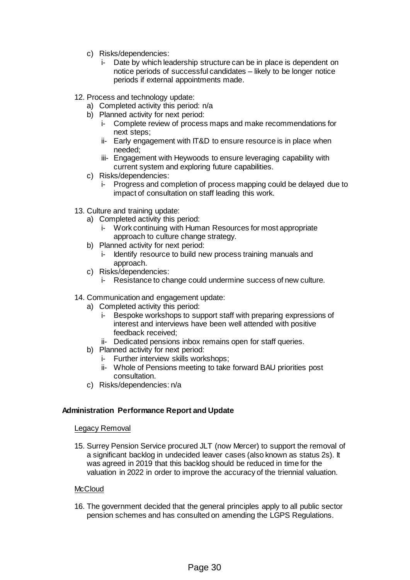- c) Risks/dependencies:
	- i- Date by which leadership structure can be in place is dependent on notice periods of successful candidates – likely to be longer notice periods if external appointments made.
- 12. Process and technology update:
	- a) Completed activity this period: n/a
	- b) Planned activity for next period:
		- i- Complete review of process maps and make recommendations for next steps;
		- ii- Early engagement with IT&D to ensure resource is in place when needed;
		- iii- Engagement with Heywoods to ensure leveraging capability with current system and exploring future capabilities.
	- c) Risks/dependencies:
		- i- Progress and completion of process mapping could be delayed due to impact of consultation on staff leading this work.
- 13. Culture and training update:
	- a) Completed activity this period:
		- i- Work continuing with Human Resources for most appropriate approach to culture change strategy.
	- b) Planned activity for next period:
		- i- Identify resource to build new process training manuals and approach.
	- c) Risks/dependencies:
		- i- Resistance to change could undermine success of new culture.
- 14. Communication and engagement update:
	- a) Completed activity this period:
		- i- Bespoke workshops to support staff with preparing expressions of interest and interviews have been well attended with positive feedback received;
		- ii- Dedicated pensions inbox remains open for staff queries.
	- b) Planned activity for next period:
		- i- Further interview skills workshops;
		- ii- Whole of Pensions meeting to take forward BAU priorities post consultation.
	- c) Risks/dependencies: n/a

### **Administration Performance Report and Update**

#### Legacy Removal

15. Surrey Pension Service procured JLT (now Mercer) to support the removal of a significant backlog in undecided leaver cases (also known as status 2s). It was agreed in 2019 that this backlog should be reduced in time for the valuation in 2022 in order to improve the accuracy of the triennial valuation.

#### **McCloud**

16. The government decided that the general principles apply to all public sector pension schemes and has consulted on amending the LGPS Regulations.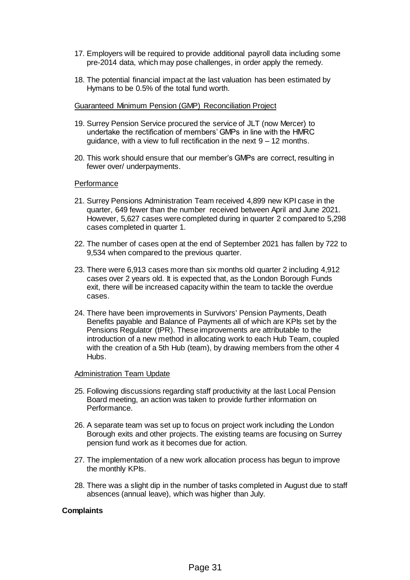- 17. Employers will be required to provide additional payroll data including some pre-2014 data, which may pose challenges, in order apply the remedy.
- 18. The potential financial impact at the last valuation has been estimated by Hymans to be 0.5% of the total fund worth.

#### Guaranteed Minimum Pension (GMP) Reconciliation Project

- 19. Surrey Pension Service procured the service of JLT (now Mercer) to undertake the rectification of members' GMPs in line with the HMRC guidance, with a view to full rectification in the next  $9 - 12$  months.
- 20. This work should ensure that our member's GMPs are correct, resulting in fewer over/ underpayments.

#### Performance

- 21. Surrey Pensions Administration Team received 4,899 new KPI case in the quarter, 649 fewer than the number received between April and June 2021. However, 5,627 cases were completed during in quarter 2 compared to 5,298 cases completed in quarter 1.
- 22. The number of cases open at the end of September 2021 has fallen by 722 to 9,534 when compared to the previous quarter.
- 23. There were 6,913 cases more than six months old quarter 2 including 4,912 cases over 2 years old. It is expected that, as the London Borough Funds exit, there will be increased capacity within the team to tackle the overdue cases.
- 24. There have been improvements in Survivors' Pension Payments, Death Benefits payable and Balance of Payments all of which are KPIs set by the Pensions Regulator (tPR). These improvements are attributable to the introduction of a new method in allocating work to each Hub Team, coupled with the creation of a 5th Hub (team), by drawing members from the other 4 Hubs.

#### Administration Team Update

- 25. Following discussions regarding staff productivity at the last Local Pension Board meeting, an action was taken to provide further information on Performance.
- 26. A separate team was set up to focus on project work including the London Borough exits and other projects. The existing teams are focusing on Surrey pension fund work as it becomes due for action.
- 27. The implementation of a new work allocation process has begun to improve the monthly KPIs.
- 28. There was a slight dip in the number of tasks completed in August due to staff absences (annual leave), which was higher than July.

#### **Complaints**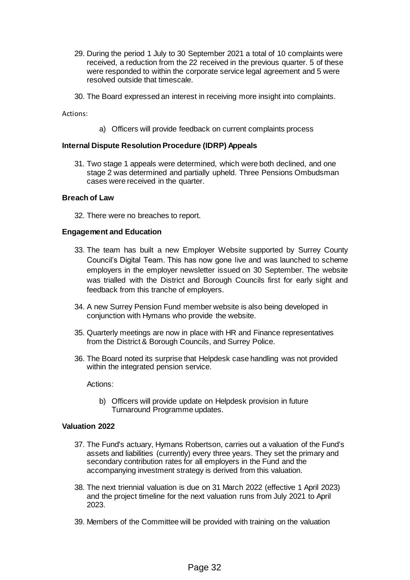- 29. During the period 1 July to 30 September 2021 a total of 10 complaints were received, a reduction from the 22 received in the previous quarter. 5 of these were responded to within the corporate service legal agreement and 5 were resolved outside that timescale.
- 30. The Board expressed an interest in receiving more insight into complaints.

Actions:

a) Officers will provide feedback on current complaints process

#### **Internal Dispute Resolution Procedure (IDRP) Appeals**

31. Two stage 1 appeals were determined, which were both declined, and one stage 2 was determined and partially upheld. Three Pensions Ombudsman cases were received in the quarter.

#### **Breach of Law**

32. There were no breaches to report.

#### **Engagement and Education**

- 33. The team has built a new Employer Website supported by Surrey County Council's Digital Team. This has now gone live and was launched to scheme employers in the employer newsletter issued on 30 September. The website was trialled with the District and Borough Councils first for early sight and feedback from this tranche of employers.
- 34. A new Surrey Pension Fund member website is also being developed in conjunction with Hymans who provide the website.
- 35. Quarterly meetings are now in place with HR and Finance representatives from the District & Borough Councils, and Surrey Police.
- 36. The Board noted its surprise that Helpdesk case handling was not provided within the integrated pension service.

Actions:

b) Officers will provide update on Helpdesk provision in future Turnaround Programme updates.

## **Valuation 2022**

- 37. The Fund's actuary, Hymans Robertson, carries out a valuation of the Fund's assets and liabilities (currently) every three years. They set the primary and secondary contribution rates for all employers in the Fund and the accompanying investment strategy is derived from this valuation.
- 38. The next triennial valuation is due on 31 March 2022 (effective 1 April 2023) and the project timeline for the next valuation runs from July 2021 to April 2023.
- 39. Members of the Committee will be provided with training on the valuation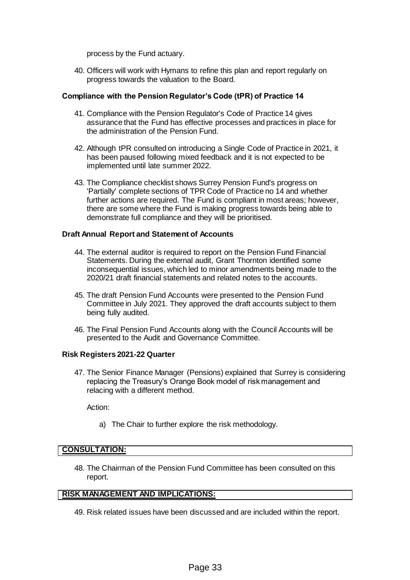process by the Fund actuary.

40. Officers will work with Hymans to refine this plan and report regularly on progress towards the valuation to the Board.

## **Compliance with the Pension Regulator's Code (tPR) of Practice 14**

- 41. Compliance with the Pension Regulator's Code of Practice 14 gives assurance that the Fund has effective processes and practices in place for the administration of the Pension Fund.
- 42. Although tPR consulted on introducing a Single Code of Practice in 2021, it has been paused following mixed feedback and it is not expected to be implemented until late summer 2022.
- 43. The Compliance checklist shows Surrey Pension Fund's progress on 'Partially' complete sections of TPR Code of Practice no 14 and whether further actions are required. The Fund is compliant in most areas; however, there are some where the Fund is making progress towards being able to demonstrate full compliance and they will be prioritised.

#### **Draft Annual Report and Statement of Accounts**

- 44. The external auditor is required to report on the Pension Fund Financial Statements. During the external audit, Grant Thornton identified some inconsequential issues, which led to minor amendments being made to the 2020/21 draft financial statements and related notes to the accounts.
- 45. The draft Pension Fund Accounts were presented to the Pension Fund Committee in July 2021. They approved the draft accounts subject to them being fully audited.
- 46. The Final Pension Fund Accounts along with the Council Accounts will be presented to the Audit and Governance Committee.

#### **Risk Registers 2021-22 Quarter**

47. The Senior Finance Manager (Pensions) explained that Surrey is considering replacing the Treasury's Orange Book model of risk management and relacing with a different method.

Action:

a) The Chair to further explore the risk methodology.

## **CONSULTATION:**

48. The Chairman of the Pension Fund Committee has been consulted on this report.

## **RISK MANAGEMENT AND IMPLICATIONS:**

49. Risk related issues have been discussed and are included within the report.